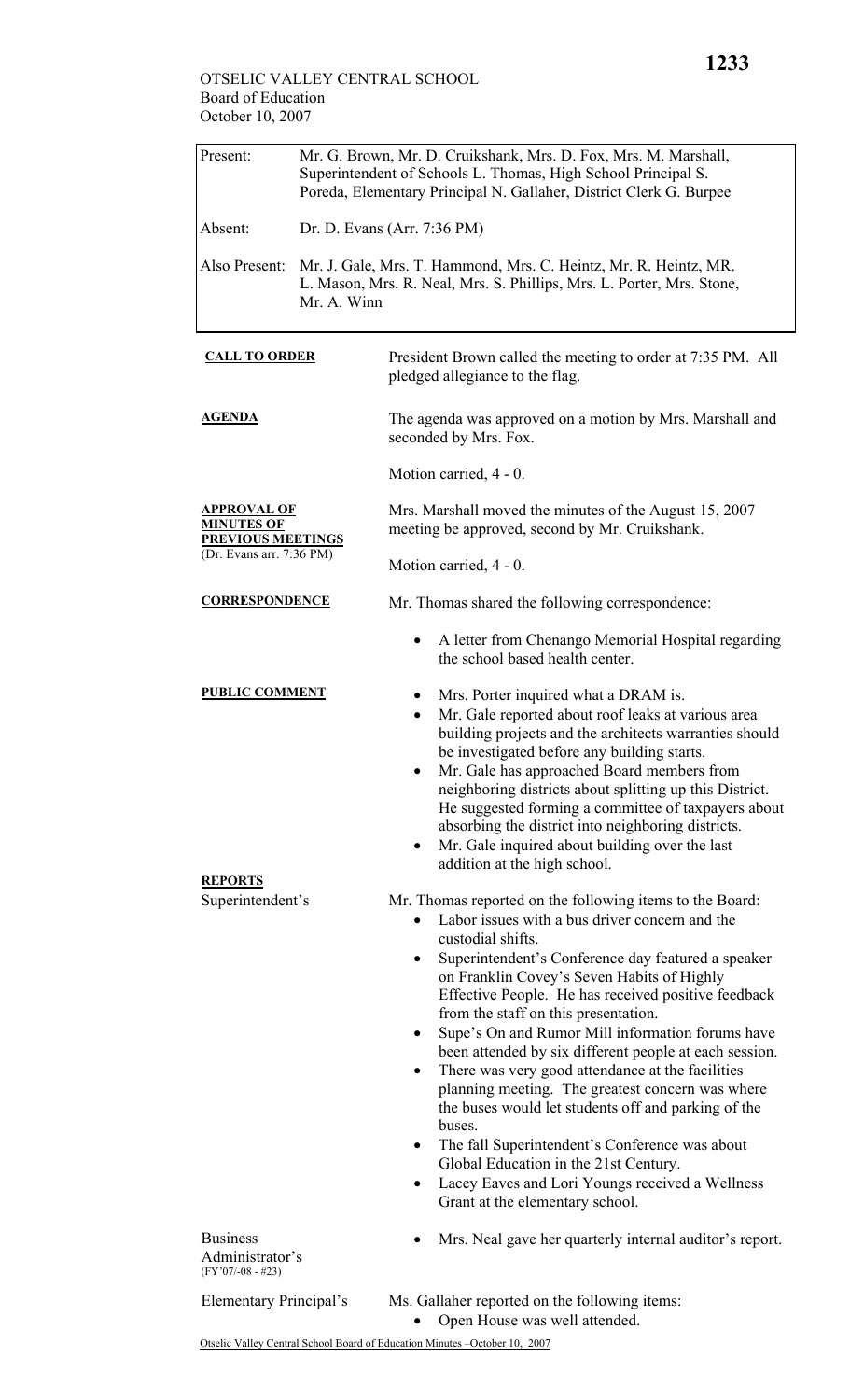| Present:                                                            | Mr. G. Brown, Mr. D. Cruikshank, Mrs. D. Fox, Mrs. M. Marshall,<br>Superintendent of Schools L. Thomas, High School Principal S.<br>Poreda, Elementary Principal N. Gallaher, District Clerk G. Burpee |                                                                                                                                                                                                                                                                                                                                                                                                                                                                                                                                                                                                                                                                                                                                                                                                                                           |  |  |
|---------------------------------------------------------------------|--------------------------------------------------------------------------------------------------------------------------------------------------------------------------------------------------------|-------------------------------------------------------------------------------------------------------------------------------------------------------------------------------------------------------------------------------------------------------------------------------------------------------------------------------------------------------------------------------------------------------------------------------------------------------------------------------------------------------------------------------------------------------------------------------------------------------------------------------------------------------------------------------------------------------------------------------------------------------------------------------------------------------------------------------------------|--|--|
| Absent:                                                             | Dr. D. Evans (Arr. 7:36 PM)                                                                                                                                                                            |                                                                                                                                                                                                                                                                                                                                                                                                                                                                                                                                                                                                                                                                                                                                                                                                                                           |  |  |
| Also Present:                                                       | Mr. J. Gale, Mrs. T. Hammond, Mrs. C. Heintz, Mr. R. Heintz, MR.<br>L. Mason, Mrs. R. Neal, Mrs. S. Phillips, Mrs. L. Porter, Mrs. Stone,<br>Mr. A. Winn                                               |                                                                                                                                                                                                                                                                                                                                                                                                                                                                                                                                                                                                                                                                                                                                                                                                                                           |  |  |
| <b>CALL TO ORDER</b>                                                |                                                                                                                                                                                                        | President Brown called the meeting to order at 7:35 PM. All<br>pledged allegiance to the flag.                                                                                                                                                                                                                                                                                                                                                                                                                                                                                                                                                                                                                                                                                                                                            |  |  |
| AGENDA                                                              |                                                                                                                                                                                                        | The agenda was approved on a motion by Mrs. Marshall and<br>seconded by Mrs. Fox.                                                                                                                                                                                                                                                                                                                                                                                                                                                                                                                                                                                                                                                                                                                                                         |  |  |
|                                                                     |                                                                                                                                                                                                        | Motion carried, 4 - 0.                                                                                                                                                                                                                                                                                                                                                                                                                                                                                                                                                                                                                                                                                                                                                                                                                    |  |  |
| <u>APPROVAL OF</u><br><b>MINUTES OF</b><br><b>PREVIOUS MEETINGS</b> |                                                                                                                                                                                                        | Mrs. Marshall moved the minutes of the August 15, 2007<br>meeting be approved, second by Mr. Cruikshank.                                                                                                                                                                                                                                                                                                                                                                                                                                                                                                                                                                                                                                                                                                                                  |  |  |
| (Dr. Evans arr. 7:36 PM)                                            |                                                                                                                                                                                                        | Motion carried, 4 - 0.                                                                                                                                                                                                                                                                                                                                                                                                                                                                                                                                                                                                                                                                                                                                                                                                                    |  |  |
| <b>CORRESPONDENCE</b>                                               |                                                                                                                                                                                                        | Mr. Thomas shared the following correspondence:                                                                                                                                                                                                                                                                                                                                                                                                                                                                                                                                                                                                                                                                                                                                                                                           |  |  |
|                                                                     |                                                                                                                                                                                                        | A letter from Chenango Memorial Hospital regarding<br>$\bullet$<br>the school based health center.                                                                                                                                                                                                                                                                                                                                                                                                                                                                                                                                                                                                                                                                                                                                        |  |  |
| <b>PUBLIC COMMENT</b>                                               |                                                                                                                                                                                                        | Mrs. Porter inquired what a DRAM is.<br>Mr. Gale reported about roof leaks at various area<br>$\bullet$<br>building projects and the architects warranties should<br>be investigated before any building starts.<br>Mr. Gale has approached Board members from<br>neighboring districts about splitting up this District.<br>He suggested forming a committee of taxpayers about<br>absorbing the district into neighboring districts.<br>Mr. Gale inquired about building over the last<br>$\bullet$<br>addition at the high school.                                                                                                                                                                                                                                                                                                     |  |  |
| <b>REPORTS</b>                                                      |                                                                                                                                                                                                        |                                                                                                                                                                                                                                                                                                                                                                                                                                                                                                                                                                                                                                                                                                                                                                                                                                           |  |  |
| Superintendent's                                                    |                                                                                                                                                                                                        | Mr. Thomas reported on the following items to the Board:<br>Labor issues with a bus driver concern and the<br>custodial shifts.<br>Superintendent's Conference day featured a speaker<br>on Franklin Covey's Seven Habits of Highly<br>Effective People. He has received positive feedback<br>from the staff on this presentation.<br>Supe's On and Rumor Mill information forums have<br>$\bullet$<br>been attended by six different people at each session.<br>There was very good attendance at the facilities<br>planning meeting. The greatest concern was where<br>the buses would let students off and parking of the<br>buses.<br>The fall Superintendent's Conference was about<br>$\bullet$<br>Global Education in the 21st Century.<br>Lacey Eaves and Lori Youngs received a Wellness<br>٠<br>Grant at the elementary school. |  |  |
| <b>Business</b><br>Administrator's<br>$(FY'07/-08 - #23)$           |                                                                                                                                                                                                        | Mrs. Neal gave her quarterly internal auditor's report.                                                                                                                                                                                                                                                                                                                                                                                                                                                                                                                                                                                                                                                                                                                                                                                   |  |  |
| Elementary Principal's                                              |                                                                                                                                                                                                        | Ms. Gallaher reported on the following items:<br>Open House was well attended.                                                                                                                                                                                                                                                                                                                                                                                                                                                                                                                                                                                                                                                                                                                                                            |  |  |
|                                                                     |                                                                                                                                                                                                        | 2007                                                                                                                                                                                                                                                                                                                                                                                                                                                                                                                                                                                                                                                                                                                                                                                                                                      |  |  |

Otselic Valley Central School Board of Education Minutes –October 10, 2007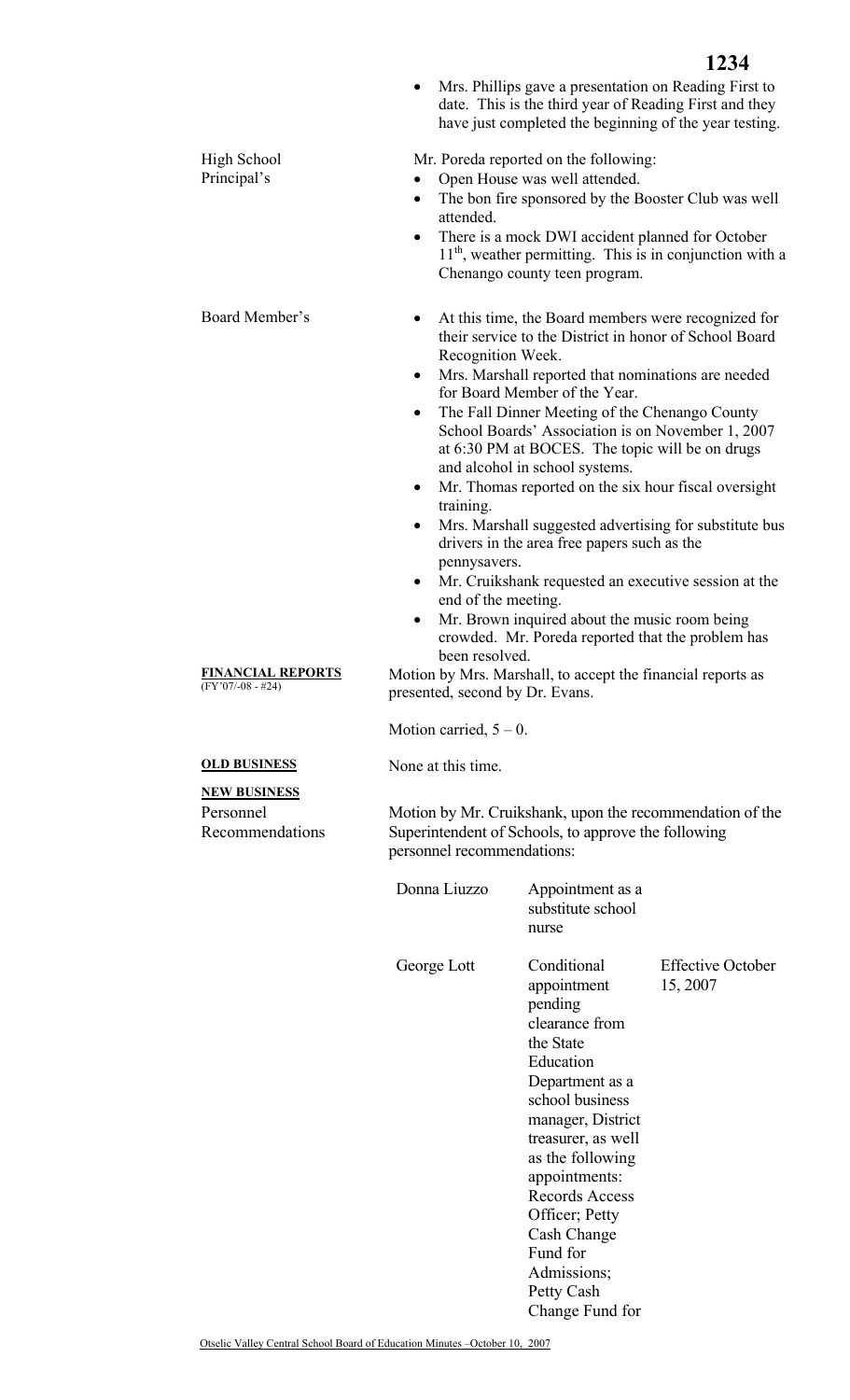|                                                 |                                                                                                                                                               | Mrs. Phillips gave a presentation on Reading First to<br>date. This is the third year of Reading First and they<br>have just completed the beginning of the year testing.                                                                                                                                                                                                                                                                                                                                                                                                                                                                                             | 1234                                                       |  |
|-------------------------------------------------|---------------------------------------------------------------------------------------------------------------------------------------------------------------|-----------------------------------------------------------------------------------------------------------------------------------------------------------------------------------------------------------------------------------------------------------------------------------------------------------------------------------------------------------------------------------------------------------------------------------------------------------------------------------------------------------------------------------------------------------------------------------------------------------------------------------------------------------------------|------------------------------------------------------------|--|
| <b>High School</b><br>Principal's               | $\bullet$<br>attended.                                                                                                                                        | Mr. Poreda reported on the following:<br>Open House was well attended.<br>The bon fire sponsored by the Booster Club was well<br>There is a mock DWI accident planned for October<br>Chenango county teen program.                                                                                                                                                                                                                                                                                                                                                                                                                                                    | $11th$ , weather permitting. This is in conjunction with a |  |
| Board Member's                                  | Recognition Week.<br>$\bullet$<br>٠<br>$\bullet$<br>training.<br>$\bullet$<br>pennysavers.<br>$\bullet$<br>end of the meeting.<br>$\bullet$<br>been resolved. | At this time, the Board members were recognized for<br>their service to the District in honor of School Board<br>Mrs. Marshall reported that nominations are needed<br>for Board Member of the Year.<br>The Fall Dinner Meeting of the Chenango County<br>School Boards' Association is on November 1, 2007<br>at 6:30 PM at BOCES. The topic will be on drugs<br>and alcohol in school systems.<br>Mr. Thomas reported on the six hour fiscal oversight<br>drivers in the area free papers such as the<br>Mr. Cruikshank requested an executive session at the<br>Mr. Brown inquired about the music room being<br>crowded. Mr. Poreda reported that the problem has | Mrs. Marshall suggested advertising for substitute bus     |  |
| <b>FINANCIAL REPORTS</b><br>$(FY'07/-08 - #24)$ | presented, second by Dr. Evans.                                                                                                                               | Motion by Mrs. Marshall, to accept the financial reports as                                                                                                                                                                                                                                                                                                                                                                                                                                                                                                                                                                                                           |                                                            |  |
|                                                 | Motion carried, $5 - 0$ .                                                                                                                                     |                                                                                                                                                                                                                                                                                                                                                                                                                                                                                                                                                                                                                                                                       |                                                            |  |
| <b>OLD BUSINESS</b><br><b>NEW BUSINESS</b>      | None at this time.                                                                                                                                            |                                                                                                                                                                                                                                                                                                                                                                                                                                                                                                                                                                                                                                                                       |                                                            |  |
| Personnel<br>Recommendations                    | Motion by Mr. Cruikshank, upon the recommendation of the<br>Superintendent of Schools, to approve the following<br>personnel recommendations:                 |                                                                                                                                                                                                                                                                                                                                                                                                                                                                                                                                                                                                                                                                       |                                                            |  |
|                                                 | Donna Liuzzo                                                                                                                                                  | Appointment as a<br>substitute school<br>nurse                                                                                                                                                                                                                                                                                                                                                                                                                                                                                                                                                                                                                        |                                                            |  |
|                                                 | George Lott                                                                                                                                                   | Conditional<br>appointment<br>pending<br>clearance from<br>the State<br>Education<br>Department as a<br>school business<br>manager, District<br>treasurer, as well<br>as the following<br>appointments:<br><b>Records Access</b><br>Officer; Petty<br>Cash Change<br>Fund for<br>Admissions;                                                                                                                                                                                                                                                                                                                                                                          | <b>Effective October</b><br>15, 2007                       |  |

Petty Cash

Change Fund for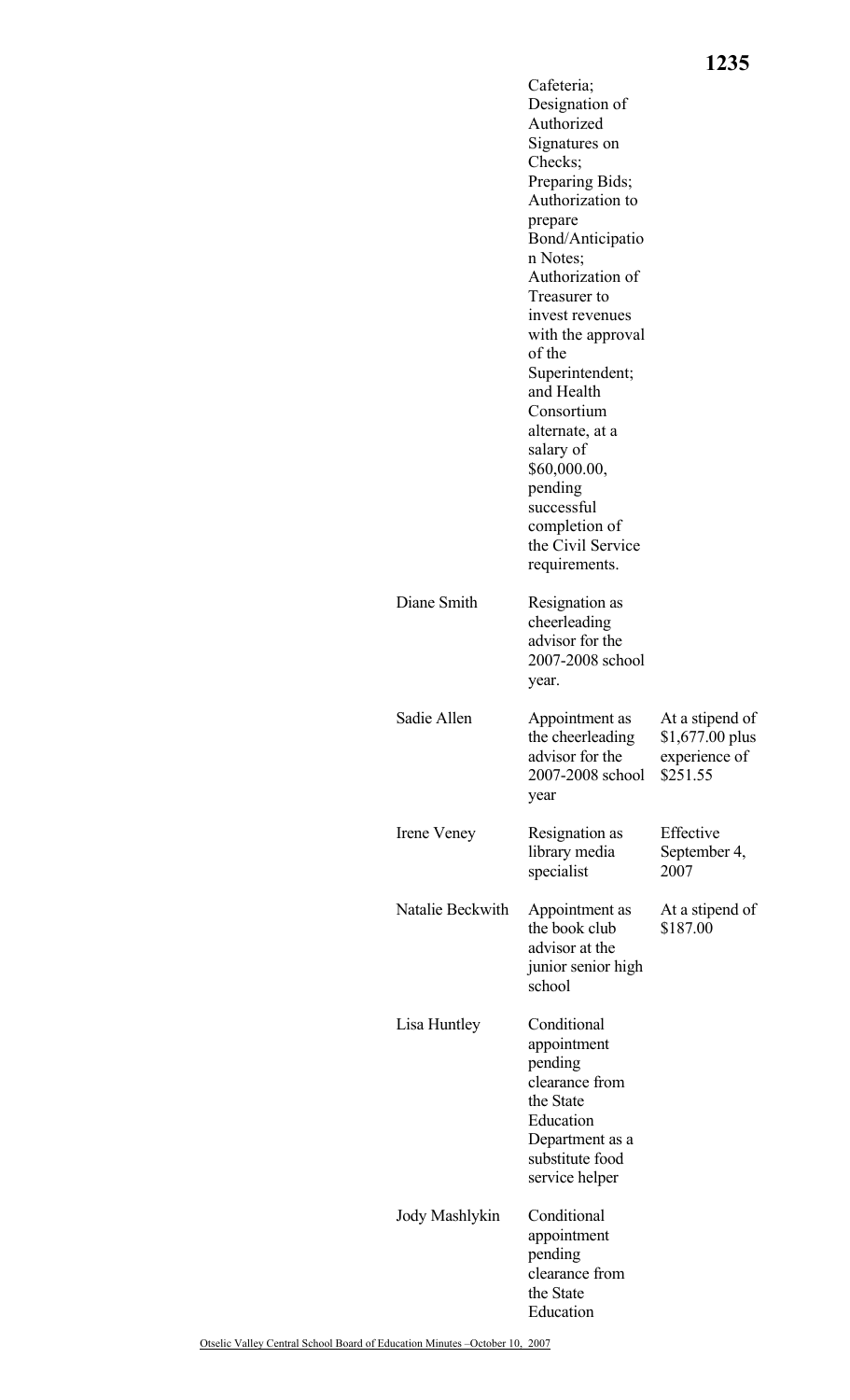|                  | Cafeteria;<br>Designation of<br>Authorized<br>Signatures on<br>Checks;<br>Preparing Bids;<br>Authorization to<br>prepare<br>Bond/Anticipatio<br>n Notes;<br>Authorization of<br>Treasurer to<br>invest revenues<br>with the approval<br>of the<br>Superintendent;<br>and Health<br>Consortium<br>alternate, at a<br>salary of<br>\$60,000.00,<br>pending<br>successful<br>completion of<br>the Civil Service<br>requirements. |                                                                  |
|------------------|-------------------------------------------------------------------------------------------------------------------------------------------------------------------------------------------------------------------------------------------------------------------------------------------------------------------------------------------------------------------------------------------------------------------------------|------------------------------------------------------------------|
| Diane Smith      | Resignation as<br>cheerleading<br>advisor for the<br>2007-2008 school<br>year.                                                                                                                                                                                                                                                                                                                                                |                                                                  |
| Sadie Allen      | Appointment as<br>the cheerleading<br>advisor for the<br>2007-2008 school<br>year                                                                                                                                                                                                                                                                                                                                             | At a stipend of<br>$$1,677.00$ plus<br>experience of<br>\$251.55 |
| Irene Veney      | Resignation as<br>library media<br>specialist                                                                                                                                                                                                                                                                                                                                                                                 | Effective<br>September 4,<br>2007                                |
| Natalie Beckwith | Appointment as<br>the book club<br>advisor at the<br>junior senior high<br>school                                                                                                                                                                                                                                                                                                                                             | At a stipend of<br>\$187.00                                      |
| Lisa Huntley     | Conditional<br>appointment<br>pending<br>clearance from<br>the State<br>Education<br>Department as a<br>substitute food<br>service helper                                                                                                                                                                                                                                                                                     |                                                                  |
| Jody Mashlykin   | Conditional<br>appointment<br>pending<br>clearance from<br>the State<br>Education                                                                                                                                                                                                                                                                                                                                             |                                                                  |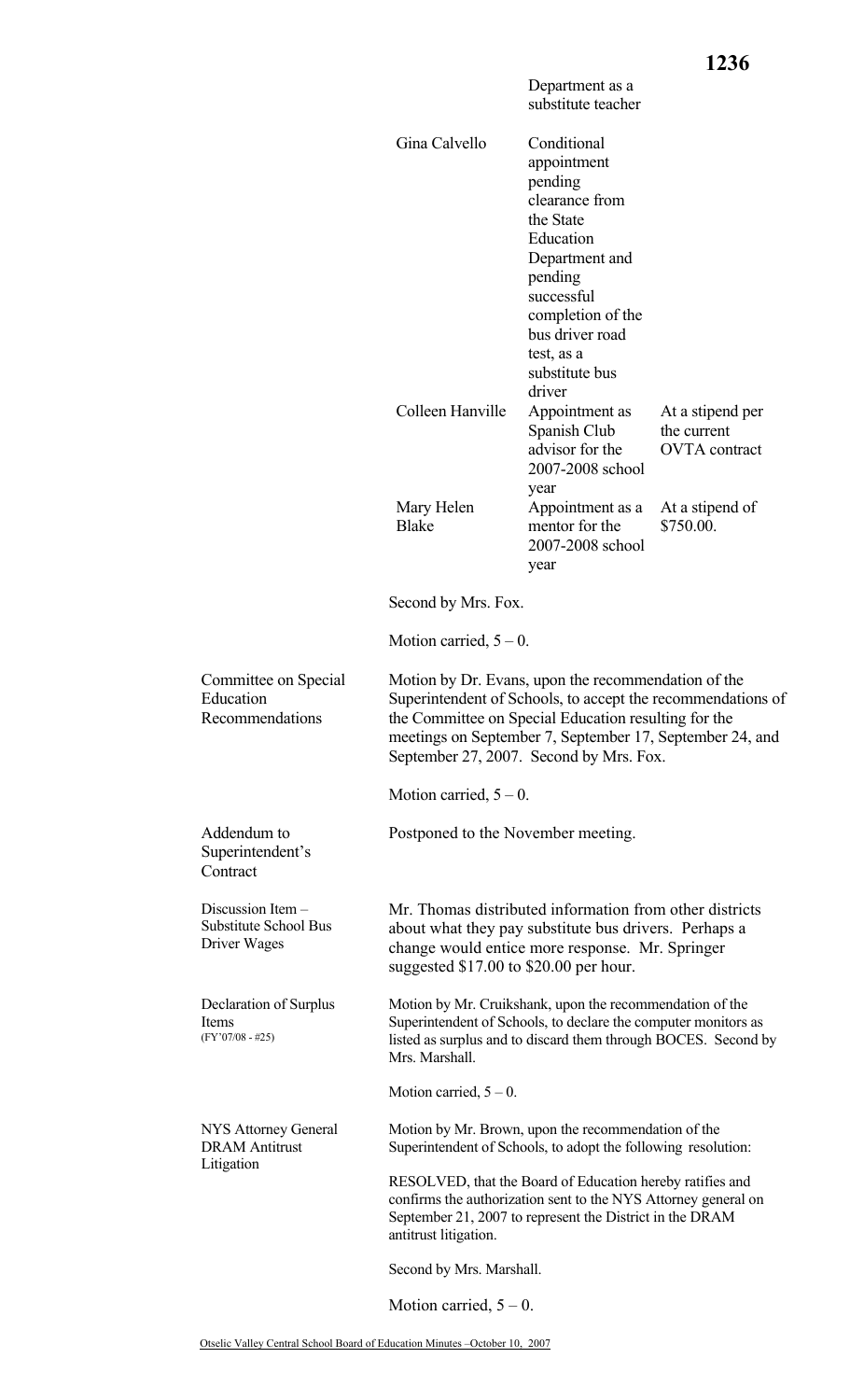|                                                                   |                                                                                                                                                                                                                                                                                   |                                                                                                                                                                                                                | 1236                                                    |
|-------------------------------------------------------------------|-----------------------------------------------------------------------------------------------------------------------------------------------------------------------------------------------------------------------------------------------------------------------------------|----------------------------------------------------------------------------------------------------------------------------------------------------------------------------------------------------------------|---------------------------------------------------------|
|                                                                   |                                                                                                                                                                                                                                                                                   | Department as a<br>substitute teacher                                                                                                                                                                          |                                                         |
|                                                                   | Gina Calvello                                                                                                                                                                                                                                                                     | Conditional<br>appointment<br>pending<br>clearance from<br>the State<br>Education<br>Department and<br>pending<br>successful<br>completion of the<br>bus driver road<br>test, as a<br>substitute bus<br>driver |                                                         |
|                                                                   | Colleen Hanville                                                                                                                                                                                                                                                                  | Appointment as<br>Spanish Club<br>advisor for the<br>2007-2008 school                                                                                                                                          | At a stipend per<br>the current<br><b>OVTA</b> contract |
|                                                                   | Mary Helen<br><b>Blake</b>                                                                                                                                                                                                                                                        | year<br>Appointment as a<br>mentor for the<br>2007-2008 school<br>year                                                                                                                                         | At a stipend of<br>\$750.00.                            |
|                                                                   | Second by Mrs. Fox.                                                                                                                                                                                                                                                               |                                                                                                                                                                                                                |                                                         |
|                                                                   | Motion carried, $5 - 0$ .                                                                                                                                                                                                                                                         |                                                                                                                                                                                                                |                                                         |
| Committee on Special<br>Education<br>Recommendations              | Motion by Dr. Evans, upon the recommendation of the<br>Superintendent of Schools, to accept the recommendations of<br>the Committee on Special Education resulting for the<br>meetings on September 7, September 17, September 24, and<br>September 27, 2007. Second by Mrs. Fox. |                                                                                                                                                                                                                |                                                         |
|                                                                   | Motion carried, $5 - 0$ .                                                                                                                                                                                                                                                         |                                                                                                                                                                                                                |                                                         |
| Addendum to<br>Superintendent's<br>Contract                       | Postponed to the November meeting.                                                                                                                                                                                                                                                |                                                                                                                                                                                                                |                                                         |
| Discussion Item -<br><b>Substitute School Bus</b><br>Driver Wages | Mr. Thomas distributed information from other districts<br>about what they pay substitute bus drivers. Perhaps a<br>change would entice more response. Mr. Springer<br>suggested \$17.00 to \$20.00 per hour.                                                                     |                                                                                                                                                                                                                |                                                         |
| Declaration of Surplus<br>Items<br>$(FY'07/08 - #25)$             | Motion by Mr. Cruikshank, upon the recommendation of the<br>Superintendent of Schools, to declare the computer monitors as<br>listed as surplus and to discard them through BOCES. Second by<br>Mrs. Marshall.                                                                    |                                                                                                                                                                                                                |                                                         |
|                                                                   | Motion carried, $5 - 0$ .                                                                                                                                                                                                                                                         |                                                                                                                                                                                                                |                                                         |
| NYS Attorney General<br><b>DRAM</b> Antitrust<br>Litigation       | Motion by Mr. Brown, upon the recommendation of the<br>Superintendent of Schools, to adopt the following resolution:                                                                                                                                                              |                                                                                                                                                                                                                |                                                         |
|                                                                   | antitrust litigation.                                                                                                                                                                                                                                                             | RESOLVED, that the Board of Education hereby ratifies and<br>confirms the authorization sent to the NYS Attorney general on<br>September 21, 2007 to represent the District in the DRAM                        |                                                         |
|                                                                   | Second by Mrs. Marshall.                                                                                                                                                                                                                                                          |                                                                                                                                                                                                                |                                                         |
|                                                                   | Motion carried, $5 - 0$ .                                                                                                                                                                                                                                                         |                                                                                                                                                                                                                |                                                         |